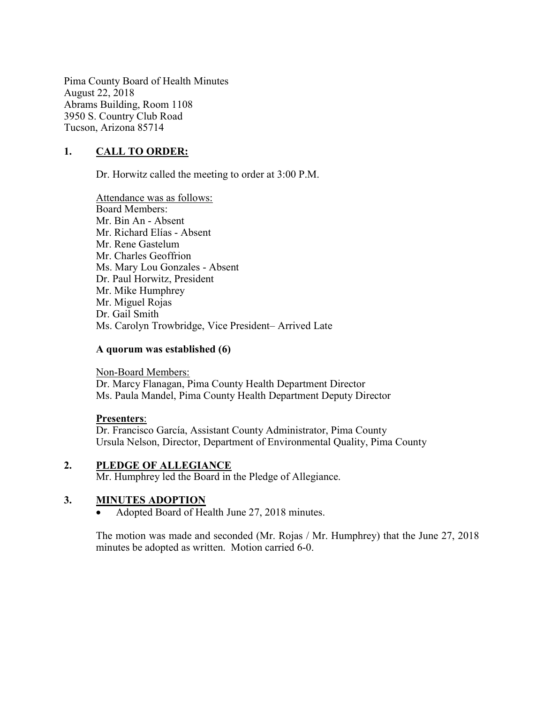Pima County Board of Health Minutes August 22, 2018 Abrams Building, Room 1108 3950 S. Country Club Road Tucson, Arizona 85714

## 1. CALL TO ORDER:

Dr. Horwitz called the meeting to order at 3:00 P.M.

Attendance was as follows: Board Members: Mr. Bin An - Absent Mr. Richard Elías - Absent Mr. Rene Gastelum Mr. Charles Geoffrion Ms. Mary Lou Gonzales - Absent Dr. Paul Horwitz, President Mr. Mike Humphrey Mr. Miguel Rojas Dr. Gail Smith Ms. Carolyn Trowbridge, Vice President– Arrived Late

#### A quorum was established (6)

Non-Board Members: Dr. Marcy Flanagan, Pima County Health Department Director Ms. Paula Mandel, Pima County Health Department Deputy Director

#### Presenters:

Dr. Francisco García, Assistant County Administrator, Pima County Ursula Nelson, Director, Department of Environmental Quality, Pima County

### 2. PLEDGE OF ALLEGIANCE

Mr. Humphrey led the Board in the Pledge of Allegiance.

#### 3. MINUTES ADOPTION

Adopted Board of Health June 27, 2018 minutes.

The motion was made and seconded (Mr. Rojas / Mr. Humphrey) that the June 27, 2018 minutes be adopted as written. Motion carried 6-0.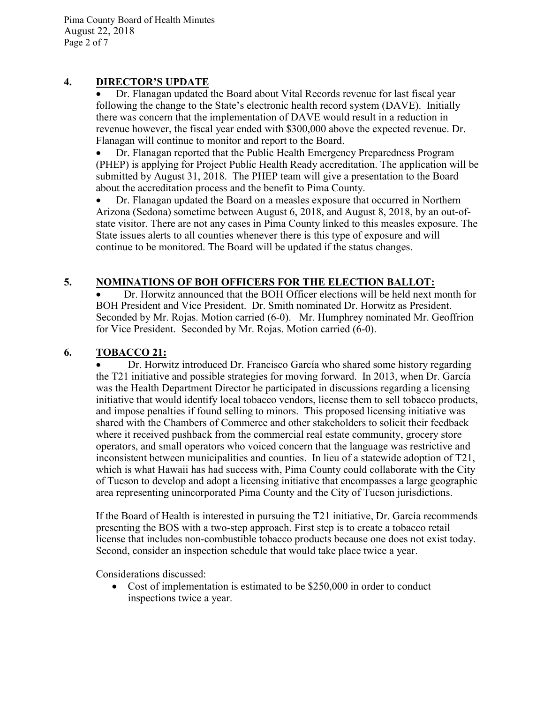Pima County Board of Health Minutes August 22, 2018 Page 2 of 7

### 4. DIRECTOR'S UPDATE

 Dr. Flanagan updated the Board about Vital Records revenue for last fiscal year following the change to the State's electronic health record system (DAVE). Initially there was concern that the implementation of DAVE would result in a reduction in revenue however, the fiscal year ended with \$300,000 above the expected revenue. Dr. Flanagan will continue to monitor and report to the Board.

 Dr. Flanagan reported that the Public Health Emergency Preparedness Program (PHEP) is applying for Project Public Health Ready accreditation. The application will be submitted by August 31, 2018. The PHEP team will give a presentation to the Board about the accreditation process and the benefit to Pima County.

 Dr. Flanagan updated the Board on a measles exposure that occurred in Northern Arizona (Sedona) sometime between August 6, 2018, and August 8, 2018, by an out-ofstate visitor. There are not any cases in Pima County linked to this measles exposure. The State issues alerts to all counties whenever there is this type of exposure and will continue to be monitored. The Board will be updated if the status changes.

# 5. NOMINATIONS OF BOH OFFICERS FOR THE ELECTION BALLOT:

 Dr. Horwitz announced that the BOH Officer elections will be held next month for BOH President and Vice President. Dr. Smith nominated Dr. Horwitz as President. Seconded by Mr. Rojas. Motion carried (6-0). Mr. Humphrey nominated Mr. Geoffrion for Vice President. Seconded by Mr. Rojas. Motion carried (6-0).

## 6. TOBACCO 21:

 Dr. Horwitz introduced Dr. Francisco García who shared some history regarding the T21 initiative and possible strategies for moving forward. In 2013, when Dr. García was the Health Department Director he participated in discussions regarding a licensing initiative that would identify local tobacco vendors, license them to sell tobacco products, and impose penalties if found selling to minors. This proposed licensing initiative was shared with the Chambers of Commerce and other stakeholders to solicit their feedback where it received pushback from the commercial real estate community, grocery store operators, and small operators who voiced concern that the language was restrictive and inconsistent between municipalities and counties. In lieu of a statewide adoption of T21, which is what Hawaii has had success with, Pima County could collaborate with the City of Tucson to develop and adopt a licensing initiative that encompasses a large geographic area representing unincorporated Pima County and the City of Tucson jurisdictions.

If the Board of Health is interested in pursuing the T21 initiative, Dr. García recommends presenting the BOS with a two-step approach. First step is to create a tobacco retail license that includes non-combustible tobacco products because one does not exist today. Second, consider an inspection schedule that would take place twice a year.

Considerations discussed:

• Cost of implementation is estimated to be \$250,000 in order to conduct inspections twice a year.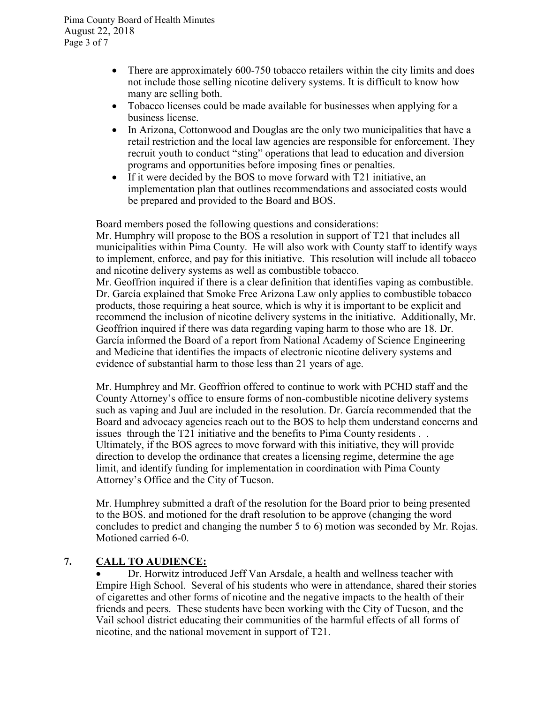- There are approximately 600-750 tobacco retailers within the city limits and does not include those selling nicotine delivery systems. It is difficult to know how many are selling both.
- Tobacco licenses could be made available for businesses when applying for a business license.
- In Arizona, Cottonwood and Douglas are the only two municipalities that have a retail restriction and the local law agencies are responsible for enforcement. They recruit youth to conduct "sting" operations that lead to education and diversion programs and opportunities before imposing fines or penalties.
- If it were decided by the BOS to move forward with T21 initiative, an implementation plan that outlines recommendations and associated costs would be prepared and provided to the Board and BOS.

Board members posed the following questions and considerations:

Mr. Humphry will propose to the BOS a resolution in support of T21 that includes all municipalities within Pima County. He will also work with County staff to identify ways to implement, enforce, and pay for this initiative. This resolution will include all tobacco and nicotine delivery systems as well as combustible tobacco.

Mr. Geoffrion inquired if there is a clear definition that identifies vaping as combustible. Dr. García explained that Smoke Free Arizona Law only applies to combustible tobacco products, those requiring a heat source, which is why it is important to be explicit and recommend the inclusion of nicotine delivery systems in the initiative. Additionally, Mr. Geoffrion inquired if there was data regarding vaping harm to those who are 18. Dr. García informed the Board of a report from National Academy of Science Engineering and Medicine that identifies the impacts of electronic nicotine delivery systems and evidence of substantial harm to those less than 21 years of age.

Mr. Humphrey and Mr. Geoffrion offered to continue to work with PCHD staff and the County Attorney's office to ensure forms of non-combustible nicotine delivery systems such as vaping and Juul are included in the resolution. Dr. García recommended that the Board and advocacy agencies reach out to the BOS to help them understand concerns and issues through the T21 initiative and the benefits to Pima County residents . . Ultimately, if the BOS agrees to move forward with this initiative, they will provide direction to develop the ordinance that creates a licensing regime, determine the age limit, and identify funding for implementation in coordination with Pima County Attorney's Office and the City of Tucson.

Mr. Humphrey submitted a draft of the resolution for the Board prior to being presented to the BOS. and motioned for the draft resolution to be approve (changing the word concludes to predict and changing the number 5 to 6) motion was seconded by Mr. Rojas. Motioned carried 6-0.

# 7. CALL TO AUDIENCE:

 Dr. Horwitz introduced Jeff Van Arsdale, a health and wellness teacher with Empire High School. Several of his students who were in attendance, shared their stories of cigarettes and other forms of nicotine and the negative impacts to the health of their friends and peers. These students have been working with the City of Tucson, and the Vail school district educating their communities of the harmful effects of all forms of nicotine, and the national movement in support of T21.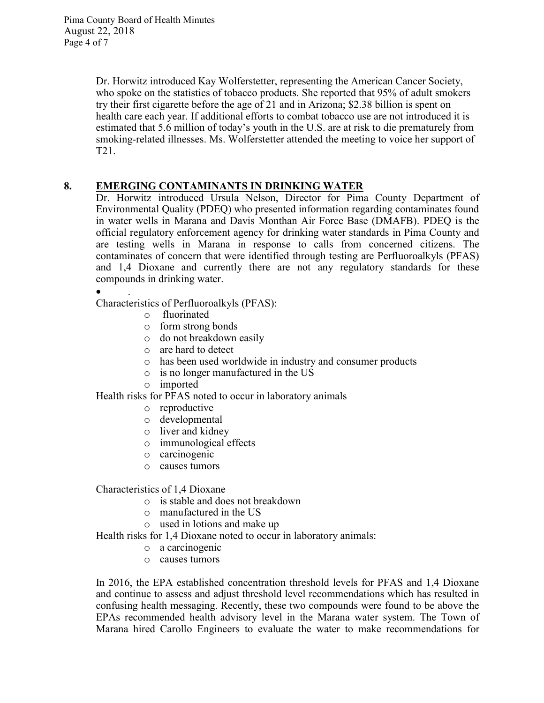Dr. Horwitz introduced Kay Wolferstetter, representing the American Cancer Society, who spoke on the statistics of tobacco products. She reported that 95% of adult smokers try their first cigarette before the age of 21 and in Arizona; \$2.38 billion is spent on health care each year. If additional efforts to combat tobacco use are not introduced it is estimated that 5.6 million of today's youth in the U.S. are at risk to die prematurely from smoking-related illnesses. Ms. Wolferstetter attended the meeting to voice her support of T21.

# 8. EMERGING CONTAMINANTS IN DRINKING WATER

Dr. Horwitz introduced Ursula Nelson, Director for Pima County Department of Environmental Quality (PDEQ) who presented information regarding contaminates found in water wells in Marana and Davis Monthan Air Force Base (DMAFB). PDEQ is the official regulatory enforcement agency for drinking water standards in Pima County and are testing wells in Marana in response to calls from concerned citizens. The contaminates of concern that were identified through testing are Perfluoroalkyls (PFAS) and 1,4 Dioxane and currently there are not any regulatory standards for these compounds in drinking water.

 $\bullet$  . Characteristics of Perfluoroalkyls (PFAS):

- o fluorinated
- o form strong bonds
- o do not breakdown easily
- o are hard to detect
- o has been used worldwide in industry and consumer products
- o is no longer manufactured in the US
- o imported

Health risks for PFAS noted to occur in laboratory animals

- o reproductive
- o developmental
- o liver and kidney
- o immunological effects
- o carcinogenic
- o causes tumors

Characteristics of 1,4 Dioxane

- o is stable and does not breakdown
- o manufactured in the US
- o used in lotions and make up

Health risks for 1,4 Dioxane noted to occur in laboratory animals:

- o a carcinogenic
- o causes tumors

In 2016, the EPA established concentration threshold levels for PFAS and 1,4 Dioxane and continue to assess and adjust threshold level recommendations which has resulted in confusing health messaging. Recently, these two compounds were found to be above the EPAs recommended health advisory level in the Marana water system. The Town of Marana hired Carollo Engineers to evaluate the water to make recommendations for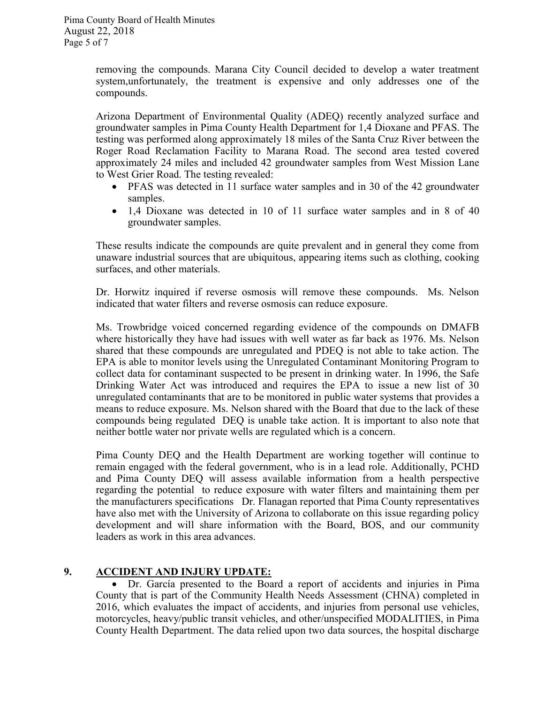removing the compounds. Marana City Council decided to develop a water treatment system,unfortunately, the treatment is expensive and only addresses one of the compounds.

Arizona Department of Environmental Quality (ADEQ) recently analyzed surface and groundwater samples in Pima County Health Department for 1,4 Dioxane and PFAS. The testing was performed along approximately 18 miles of the Santa Cruz River between the Roger Road Reclamation Facility to Marana Road. The second area tested covered approximately 24 miles and included 42 groundwater samples from West Mission Lane to West Grier Road. The testing revealed:

- PFAS was detected in 11 surface water samples and in 30 of the 42 groundwater samples.
- 1,4 Dioxane was detected in 10 of 11 surface water samples and in 8 of 40 groundwater samples.

These results indicate the compounds are quite prevalent and in general they come from unaware industrial sources that are ubiquitous, appearing items such as clothing, cooking surfaces, and other materials.

Dr. Horwitz inquired if reverse osmosis will remove these compounds. Ms. Nelson indicated that water filters and reverse osmosis can reduce exposure.

Ms. Trowbridge voiced concerned regarding evidence of the compounds on DMAFB where historically they have had issues with well water as far back as 1976. Ms. Nelson shared that these compounds are unregulated and PDEQ is not able to take action. The EPA is able to monitor levels using the Unregulated Contaminant Monitoring Program to collect data for contaminant suspected to be present in drinking water. In 1996, the Safe Drinking Water Act was introduced and requires the EPA to issue a new list of 30 unregulated contaminants that are to be monitored in public water systems that provides a means to reduce exposure. Ms. Nelson shared with the Board that due to the lack of these compounds being regulated DEQ is unable take action. It is important to also note that neither bottle water nor private wells are regulated which is a concern.

Pima County DEQ and the Health Department are working together will continue to remain engaged with the federal government, who is in a lead role. Additionally, PCHD and Pima County DEQ will assess available information from a health perspective regarding the potential to reduce exposure with water filters and maintaining them per the manufacturers specifications Dr. Flanagan reported that Pima County representatives have also met with the University of Arizona to collaborate on this issue regarding policy development and will share information with the Board, BOS, and our community leaders as work in this area advances.

# 9. ACCIDENT AND INJURY UPDATE:

 Dr. García presented to the Board a report of accidents and injuries in Pima County that is part of the Community Health Needs Assessment (CHNA) completed in 2016, which evaluates the impact of accidents, and injuries from personal use vehicles, motorcycles, heavy/public transit vehicles, and other/unspecified MODALITIES, in Pima County Health Department. The data relied upon two data sources, the hospital discharge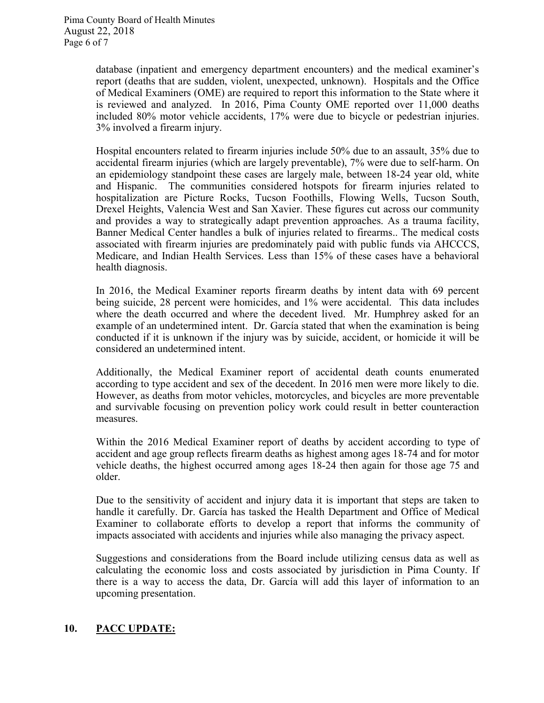database (inpatient and emergency department encounters) and the medical examiner's report (deaths that are sudden, violent, unexpected, unknown). Hospitals and the Office of Medical Examiners (OME) are required to report this information to the State where it is reviewed and analyzed. In 2016, Pima County OME reported over 11,000 deaths included 80% motor vehicle accidents, 17% were due to bicycle or pedestrian injuries. 3% involved a firearm injury.

Hospital encounters related to firearm injuries include 50% due to an assault, 35% due to accidental firearm injuries (which are largely preventable), 7% were due to self-harm. On an epidemiology standpoint these cases are largely male, between 18-24 year old, white and Hispanic. The communities considered hotspots for firearm injuries related to hospitalization are Picture Rocks, Tucson Foothills, Flowing Wells, Tucson South, Drexel Heights, Valencia West and San Xavier. These figures cut across our community and provides a way to strategically adapt prevention approaches. As a trauma facility, Banner Medical Center handles a bulk of injuries related to firearms.. The medical costs associated with firearm injuries are predominately paid with public funds via AHCCCS, Medicare, and Indian Health Services. Less than 15% of these cases have a behavioral health diagnosis.

In 2016, the Medical Examiner reports firearm deaths by intent data with 69 percent being suicide, 28 percent were homicides, and 1% were accidental. This data includes where the death occurred and where the decedent lived. Mr. Humphrey asked for an example of an undetermined intent. Dr. García stated that when the examination is being conducted if it is unknown if the injury was by suicide, accident, or homicide it will be considered an undetermined intent.

Additionally, the Medical Examiner report of accidental death counts enumerated according to type accident and sex of the decedent. In 2016 men were more likely to die. However, as deaths from motor vehicles, motorcycles, and bicycles are more preventable and survivable focusing on prevention policy work could result in better counteraction measures.

Within the 2016 Medical Examiner report of deaths by accident according to type of accident and age group reflects firearm deaths as highest among ages 18-74 and for motor vehicle deaths, the highest occurred among ages 18-24 then again for those age 75 and older.

Due to the sensitivity of accident and injury data it is important that steps are taken to handle it carefully. Dr. García has tasked the Health Department and Office of Medical Examiner to collaborate efforts to develop a report that informs the community of impacts associated with accidents and injuries while also managing the privacy aspect.

Suggestions and considerations from the Board include utilizing census data as well as calculating the economic loss and costs associated by jurisdiction in Pima County. If there is a way to access the data, Dr. García will add this layer of information to an upcoming presentation.

# 10. PACC UPDATE: